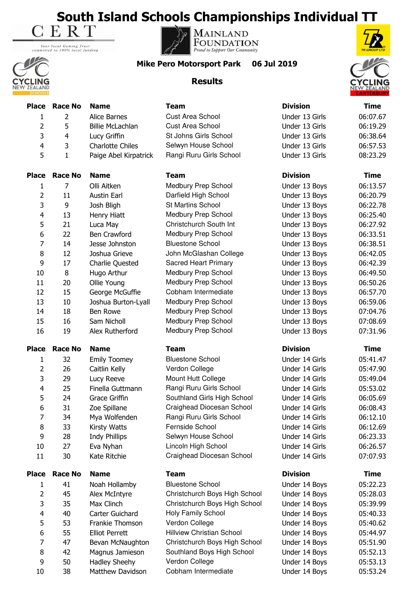**South Island Schools Championships Individual TT**<br>E R T

Your local Gaming Trust<br>committed to 100% local funding







**Mike Pero Motorsport Park 06 Jul 2019**

## **Results**



|                |                |                         |                                  |                 | <b>LANIERBURI</b> |
|----------------|----------------|-------------------------|----------------------------------|-----------------|-------------------|
| <b>Place</b>   | <b>Race No</b> | <b>Name</b>             | <b>Team</b>                      | <b>Division</b> | <b>Time</b>       |
| 1              | $\overline{2}$ | Alice Barnes            | <b>Cust Area School</b>          | Under 13 Girls  | 06:07.67          |
| 2              | 5              | <b>Billie McLachlan</b> | <b>Cust Area School</b>          | Under 13 Girls  | 06:19.29          |
| 3              | 4              | Lucy Griffin            | St Johns Girls School            | Under 13 Girls  | 06:38.64          |
| $\overline{4}$ | 3              | <b>Charlotte Chiles</b> | Selwyn House School              | Under 13 Girls  | 06:57.53          |
| 5              | $\mathbf{1}$   | Paige Abel Kirpatrick   | Rangi Ruru Girls School          | Under 13 Girls  | 08:23.29          |
| <b>Place</b>   | <b>Race No</b> | <b>Name</b>             | <b>Team</b>                      | <b>Division</b> | <b>Time</b>       |
| 1              | 7              | Olli Aitken             | Medbury Prep School              | Under 13 Boys   | 06:13.57          |
| 2              | 11             | <b>Austin Earl</b>      | Darfield High School             | Under 13 Boys   | 06:20.79          |
| 3              | 9              | Josh Bligh              | <b>St Martins School</b>         | Under 13 Boys   | 06:22.78          |
| 4              | 13             | Henry Hiatt             | Medbury Prep School              | Under 13 Boys   | 06:25.40          |
| 5              | 21             | Luca May                | Christchurch South Int           | Under 13 Boys   | 06:27.92          |
| 6              | 22             | Ben Crawford            | Medbury Prep School              | Under 13 Boys   | 06:33.51          |
| 7              | 14             | Jesse Johnston          | <b>Bluestone School</b>          | Under 13 Boys   | 06:38.51          |
| 8              | 12             | Joshua Grieve           | John McGlashan College           | Under 13 Boys   | 06:42.05          |
| 9              | 17             | Charlie Quested         | Sacred Heart Primary             | Under 13 Boys   | 06:42.39          |
| 10             | $\bf 8$        | Hugo Arthur             | <b>Medbury Prep School</b>       | Under 13 Boys   | 06:49.50          |
| 11             | 20             | Ollie Young             | Medbury Prep School              | Under 13 Boys   | 06:50.26          |
| 12             | 15             | George McGuffie         | Cobham Intermediate              | Under 13 Boys   | 06:57.70          |
| 13             | 10             | Joshua Burton-Lyall     | Medbury Prep School              | Under 13 Boys   | 06:59.06          |
| 14             | 18             | Ben Rowe                | Medbury Prep School              | Under 13 Boys   | 07:04.76          |
| 15             | 16             | Sam Nicholl             | Medbury Prep School              | Under 13 Boys   | 07:08.69          |
| 16             | 19             | Alex Rutherford         | Medbury Prep School              | Under 13 Boys   | 07:31.96          |
| <b>Place</b>   | <b>Race No</b> | <b>Name</b>             | <b>Team</b>                      | <b>Division</b> | <b>Time</b>       |
| 1              | 32             | <b>Emily Toomey</b>     | <b>Bluestone School</b>          | Under 14 Girls  | 05:41.47          |
| 2              | 26             | Caitlin Kelly           | Verdon College                   | Under 14 Girls  | 05:47.90          |
| 3              | 29             | Lucy Reeve              | Mount Hutt College               | Under 14 Girls  | 05:49.04          |
| $\overline{4}$ | 25             | Finella Guttmann        | Rangi Ruru Girls School          | Under 14 Girls  | 05:53.02          |
| 5              | 24             | Grace Griffin           | Southland Girls High School      | Under 14 Girls  | 06:05.69          |
| 6              | 31             | Zoe Spillane            | Craighead Diocesan School        | Under 14 Girls  | 06:08.43          |
| 7              | 34             | Mya Wolfenden           | Rangi Ruru Girls School          | Under 14 Girls  | 06:12.10          |
| 8              | 33             | Kirsty Watts            | Fernside School                  | Under 14 Girls  | 06:12.69          |
| 9              | 28             | <b>Indy Phillips</b>    | Selwyn House School              | Under 14 Girls  | 06:23.33          |
| 10             | 27             | Eva Nyhan               | Lincoln High School              | Under 14 Girls  | 06:26.57          |
| 11             | 30             | Kate Ritchie            | Craighead Diocesan School        | Under 14 Girls  | 07:07.93          |
| <b>Place</b>   | <b>Race No</b> | <b>Name</b>             | <b>Team</b>                      | <b>Division</b> | <b>Time</b>       |
| 1              | 41             | Noah Hollamby           | <b>Bluestone School</b>          | Under 14 Boys   | 05:22.23          |
| $\overline{2}$ | 45             | Alex McIntyre           | Christchurch Boys High School    | Under 14 Boys   | 05:28.03          |
| 3              | 35             | Max Clinch              | Christchurch Boys High School    | Under 14 Boys   | 05:39.99          |
| 4              | 40             | Carter Guichard         | Holy Family School               | Under 14 Boys   | 05:40.33          |
| 5              | 53             | Frankie Thomson         | Verdon College                   | Under 14 Boys   | 05:40.62          |
| 6              | 55             | <b>Elliot Perrett</b>   | <b>Hillview Christian School</b> | Under 14 Boys   | 05:44.97          |
| 7              | 47             | Bevan McNaughton        | Christchurch Boys High School    | Under 14 Boys   | 05:51.90          |
| 8              | 42             | Magnus Jamieson         | Southland Boys High School       | Under 14 Boys   | 05:52.13          |
| 9              | 50             | <b>Hadley Sheehy</b>    | Verdon College                   | Under 14 Boys   | 05:53.13          |

10 38 Matthew Davidson Cobham Intermediate Under 14 Boys 05:53.24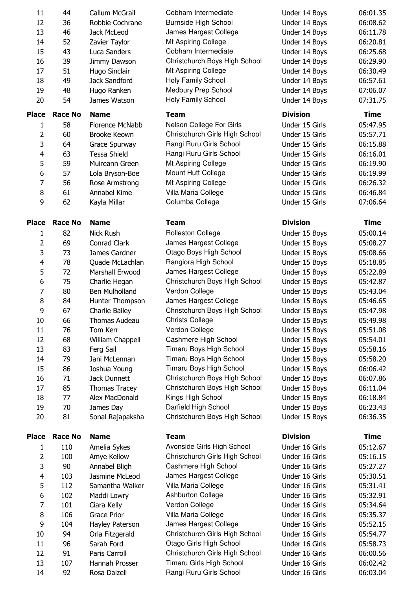| 11             | 44             | Callum McGrail               | Cobham Intermediate            | Under 14 Boys   | 06:01.35    |
|----------------|----------------|------------------------------|--------------------------------|-----------------|-------------|
| 12             | 36             | Robbie Cochrane              | <b>Burnside High School</b>    | Under 14 Boys   | 06:08.62    |
| 13             | 46             | Jack McLeod                  | James Hargest College          | Under 14 Boys   | 06:11.78    |
|                |                |                              | Mt Aspiring College            |                 |             |
| 14             | 52             | Zavier Taylor                | Cobham Intermediate            | Under 14 Boys   | 06:20.81    |
| 15             | 43             | Luca Sanders                 |                                | Under 14 Boys   | 06:25.68    |
| 16             | 39             | Jimmy Dawson                 | Christchurch Boys High School  | Under 14 Boys   | 06:29.90    |
| 17             | 51             | Hugo Sinclair                | Mt Aspiring College            | Under 14 Boys   | 06:30.49    |
| 18             | 49             | Jack Sandford                | Holy Family School             | Under 14 Boys   | 06:57.61    |
| 19             | 48             | Hugo Ranken                  | Medbury Prep School            | Under 14 Boys   | 07:06.07    |
| 20             | 54             | James Watson                 | Holy Family School             | Under 14 Boys   | 07:31.75    |
| <b>Place</b>   | <b>Race No</b> | <b>Name</b>                  | <b>Team</b>                    | <b>Division</b> | <b>Time</b> |
| 1              | 58             | Florence McNabb              | Nelson College For Girls       | Under 15 Girls  | 05:47.95    |
| $\overline{2}$ | 60             | <b>Brooke Keown</b>          | Christchurch Girls High School | Under 15 Girls  | 05:57.71    |
| 3              | 64             | Grace Spurway                | Rangi Ruru Girls School        | Under 15 Girls  | 06:15.88    |
| $\overline{4}$ | 63             | <b>Tessa Shield</b>          | Rangi Ruru Girls School        | Under 15 Girls  | 06:16.01    |
| 5              | 59             | Muireann Green               | Mt Aspiring College            | Under 15 Girls  | 06:19.90    |
| 6              | 57             | Lola Bryson-Boe              | Mount Hutt College             | Under 15 Girls  | 06:19.99    |
| $\overline{7}$ | 56             | Rose Armstrong               | Mt Aspiring College            | Under 15 Girls  | 06:26.32    |
| 8              | 61             | Annabel Kime                 | Villa Maria College            | Under 15 Girls  | 06:46.84    |
| 9              | 62             | Kayla Millar                 | Columba College                | Under 15 Girls  | 07:06.64    |
|                |                |                              |                                |                 |             |
| <b>Place</b>   | <b>Race No</b> | <b>Name</b>                  | <b>Team</b>                    | <b>Division</b> | <b>Time</b> |
| 1              | 82             | <b>Nick Rush</b>             | <b>Rolleston College</b>       | Under 15 Boys   | 05:00.14    |
| $\overline{2}$ | 69             | Conrad Clark                 | James Hargest College          | Under 15 Boys   | 05:08.27    |
| 3              | 73             | James Gardner                | Otago Boys High School         | Under 15 Boys   | 05:08.66    |
| $\overline{4}$ | 78             | Quade McLachlan              | Rangiora High School           | Under 15 Boys   | 05:18.85    |
| 5              | 72             | Marshall Erwood              | James Hargest College          | Under 15 Boys   | 05:22.89    |
| 6              | 75             | Charlie Hegan                | Christchurch Boys High School  | Under 15 Boys   | 05:42.87    |
| 7              | 80             | Ben Mulholland               | Verdon College                 | Under 15 Boys   | 05:43.04    |
| 8              | 84             | Hunter Thompson              | James Hargest College          | Under 15 Boys   | 05:46.65    |
| 9              | 67             | Charlie Bailey               | Christchurch Boys High School  | Under 15 Boys   | 05:47.98    |
| 10             | 66             | Thomas Audeau                | <b>Christs College</b>         | Under 15 Boys   | 05:49.98    |
| 11             | 76             | Tom Kerr                     | Verdon College                 | Under 15 Boys   | 05:51.08    |
| 12             | 68             | William Chappell             | Cashmere High School           | Under 15 Boys   | 05:54.01    |
| 13             | 83             | Ferg Sail                    | Timaru Boys High School        | Under 15 Boys   | 05:58.16    |
| 14             | 79             | Jani McLennan                | Timaru Boys High School        | Under 15 Boys   | 05:58.20    |
|                |                |                              | Timaru Boys High School        |                 |             |
| 15             | 86             | Joshua Young<br>Jack Dunnett |                                | Under 15 Boys   | 06:06.42    |
| 16             | 71             |                              | Christchurch Boys High School  | Under 15 Boys   | 06:07.86    |
| 17             | 85             | <b>Thomas Tracey</b>         | Christchurch Boys High School  | Under 15 Boys   | 06:11.04    |
| 18             | 77             | Alex MacDonald               | Kings High School              | Under 15 Boys   | 06:18.84    |
| 19             | 70             | James Day                    | Darfield High School           | Under 15 Boys   | 06:23.43    |
| 20             | 81             | Sonal Rajapaksha             | Christchurch Boys High School  | Under 15 Boys   | 06:36.35    |
| <b>Place</b>   | <b>Race No</b> | <b>Name</b>                  | <b>Team</b>                    | <b>Division</b> | <b>Time</b> |
| 1              | 110            | Amelia Sykes                 | Avonside Girls High School     | Under 16 Girls  | 05:12.67    |
| $\overline{2}$ | 100            | Amye Kellow                  | Christchurch Girls High School | Under 16 Girls  | 05:16.15    |
| 3              | 90             | Annabel Bligh                | Cashmere High School           | Under 16 Girls  | 05:27.27    |
| $\overline{4}$ | 103            | Jasmine McLeod               | James Hargest College          | Under 16 Girls  | 05:30.51    |
| 5              | 112            | Samantha Walker              | Villa Maria College            | Under 16 Girls  | 05:31.41    |
| 6              | 102            | Maddi Lowry                  | <b>Ashburton College</b>       | Under 16 Girls  | 05:32.91    |
| 7              | 101            | Ciara Kelly                  | Verdon College                 | Under 16 Girls  | 05:34.64    |
| 8              | 106            | <b>Grace Prior</b>           | Villa Maria College            | Under 16 Girls  | 05:35.37    |
| 9              | 104            | Hayley Paterson              | James Hargest College          | Under 16 Girls  | 05:52.15    |
| 10             | 94             | Orla Fitzgerald              | Christchurch Girls High School | Under 16 Girls  | 05:54.77    |
| 11             | 96             | Sarah Ford                   | Otago Girls High School        | Under 16 Girls  | 05:58.73    |
| 12             | 91             | Paris Carroll                | Christchurch Girls High School | Under 16 Girls  | 06:00.56    |
| 13             | 107            | Hannah Prosser               | Timaru Girls High School       | Under 16 Girls  | 06:02.42    |
| 14             | 92             | Rosa Dalzell                 | Rangi Ruru Girls School        | Under 16 Girls  | 06:03.04    |
|                |                |                              |                                |                 |             |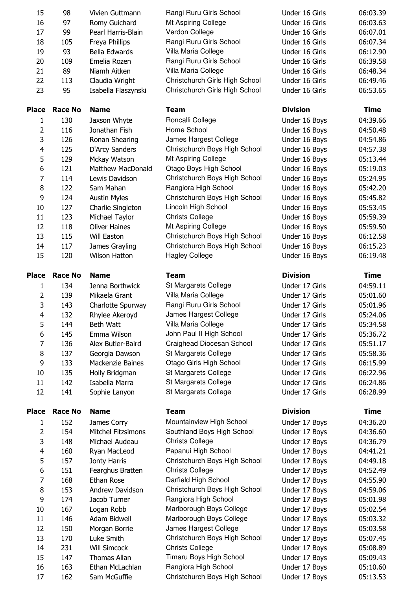| 15             | 98             | Vivien Guttmann           | Rangi Ruru Girls School        | Under 16 Girls  | 06:03.39    |
|----------------|----------------|---------------------------|--------------------------------|-----------------|-------------|
| 16             | 97             | Romy Guichard             | Mt Aspiring College            | Under 16 Girls  | 06:03.63    |
| 17             | 99             | Pearl Harris-Blain        | Verdon College                 | Under 16 Girls  | 06:07.01    |
| 18             | 105            | Freya Phillips            | Rangi Ruru Girls School        | Under 16 Girls  | 06:07.34    |
| 19             | 93             | Bella Edwards             | Villa Maria College            | Under 16 Girls  | 06:12.90    |
| 20             | 109            | Emelia Rozen              | Rangi Ruru Girls School        | Under 16 Girls  | 06:39.58    |
| 21             | 89             | Niamh Aitken              | Villa Maria College            | Under 16 Girls  | 06:48.34    |
| 22             | 113            | Claudia Wright            | Christchurch Girls High School | Under 16 Girls  | 06:49.46    |
| 23             | 95             | Isabella Flaszynski       | Christchurch Girls High School | Under 16 Girls  | 06:53.65    |
| <b>Place</b>   | <b>Race No</b> | <b>Name</b>               | <b>Team</b>                    | <b>Division</b> | Time        |
| $\mathbf{1}$   | 130            | Jaxson Whyte              | Roncalli College               | Under 16 Boys   | 04:39.66    |
| $\overline{2}$ | 116            | Jonathan Fish             | Home School                    | Under 16 Boys   | 04:50.48    |
| 3              | 126            | Ronan Shearing            | James Hargest College          | Under 16 Boys   | 04:54.86    |
| 4              | 125            | D'Arcy Sanders            | Christchurch Boys High School  | Under 16 Boys   | 04:57.38    |
| 5              | 129            | Mckay Watson              | Mt Aspiring College            | Under 16 Boys   | 05:13.44    |
| 6              | 121            | <b>Matthew MacDonald</b>  | Otago Boys High School         | Under 16 Boys   | 05:19.03    |
| $\overline{7}$ | 114            | Lewis Davidson            | Christchurch Boys High School  | Under 16 Boys   | 05:24.95    |
| 8              | 122            | Sam Mahan                 | Rangiora High School           | Under 16 Boys   | 05:42.20    |
| 9              | 124            | <b>Austin Myles</b>       | Christchurch Boys High School  | Under 16 Boys   | 05:45.82    |
| 10             | 127            | Charlie Singleton         | Lincoln High School            | Under 16 Boys   | 05:53.45    |
| 11             | 123            | Michael Taylor            | <b>Christs College</b>         | Under 16 Boys   | 05:59.39    |
| 12             | 118            | <b>Oliver Haines</b>      | Mt Aspiring College            | Under 16 Boys   | 05:59.50    |
| 13             | 115            | Will Easton               | Christchurch Boys High School  | Under 16 Boys   | 06:12.58    |
| 14             | 117            | James Grayling            | Christchurch Boys High School  | Under 16 Boys   | 06:15.23    |
| 15             | 120            | <b>Wilson Hatton</b>      | <b>Hagley College</b>          | Under 16 Boys   | 06:19.48    |
| <b>Place</b>   | <b>Race No</b> | <b>Name</b>               | <b>Team</b>                    | <b>Division</b> | Time        |
| 1              | 134            | Jenna Borthwick           | St Margarets College           | Under 17 Girls  | 04:59.11    |
| $\overline{2}$ | 139            | Mikaela Grant             | Villa Maria College            | Under 17 Girls  | 05:01.60    |
| 3              | 143            | Charlotte Spurway         | Rangi Ruru Girls School        | Under 17 Girls  | 05:01.96    |
| $\overline{4}$ | 132            | Rhylee Akeroyd            | James Hargest College          | Under 17 Girls  | 05:24.06    |
| 5              | 144            | Beth Watt                 | Villa Maria College            | Under 17 Girls  | 05:34.58    |
| 6              | 145            | Emma Wilson               | John Paul II High School       | Under 17 Girls  | 05:36.72    |
| 7              | 136            | Alex Butler-Baird         | Craighead Diocesan School      | Under 17 Girls  | 05:51.17    |
| 8              | 137            | Georgia Dawson            | St Margarets College           | Under 17 Girls  | 05:58.36    |
| 9              | 133            | Mackenzie Baines          | Otago Girls High School        | Under 17 Girls  | 06:15.99    |
| 10             | 135            | Holly Bridgman            | St Margarets College           | Under 17 Girls  | 06:22.96    |
| 11             | 142            | Isabella Marra            | St Margarets College           | Under 17 Girls  | 06:24.86    |
| 12             | 141            | Sophie Lanyon             | St Margarets College           | Under 17 Girls  | 06:28.99    |
| <b>Place</b>   | <b>Race No</b> | <b>Name</b>               | <b>Team</b>                    | <b>Division</b> | <b>Time</b> |
| 1              | 152            | James Corry               | Mountainview High School       | Under 17 Boys   | 04:36.20    |
| $\overline{2}$ | 154            | <b>Mitchel Fitzsimons</b> | Southland Boys High School     | Under 17 Boys   | 04:36.60    |
| 3              | 148            | Michael Audeau            | <b>Christs College</b>         | Under 17 Boys   | 04:36.79    |
| 4              | 160            | Ryan MacLeod              | Papanui High School            | Under 17 Boys   | 04:41.21    |
| 5              | 157            | Jonty Harris              | Christchurch Boys High School  | Under 17 Boys   | 04:49.18    |
| 6              | 151            | Fearghus Bratten          | <b>Christs College</b>         | Under 17 Boys   | 04:52.49    |
| $\overline{7}$ | 168            | Ethan Rose                | Darfield High School           | Under 17 Boys   | 04:55.90    |
| 8              | 153            | Andrew Davidson           | Christchurch Boys High School  | Under 17 Boys   | 04:59.06    |
| 9              | 174            | Jacob Turner              | Rangiora High School           | Under 17 Boys   | 05:01.98    |
| 10             | 167            | Logan Robb                | Marlborough Boys College       | Under 17 Boys   | 05:02.54    |
| 11             | 146            | Adam Bidwell              | Marlborough Boys College       | Under 17 Boys   | 05:03.32    |
| 12             | 150            | Morgan Borrie             | James Hargest College          | Under 17 Boys   | 05:03.58    |
| 13             | 170            | Luke Smith                | Christchurch Boys High School  | Under 17 Boys   | 05:07.45    |
| 14             | 231            | <b>Will Simcock</b>       | <b>Christs College</b>         | Under 17 Boys   | 05:08.89    |
| 15             | 147            | Thomas Allan              | Timaru Boys High School        | Under 17 Boys   | 05:09.43    |
| 16             |                | Ethan McLachlan           | Rangiora High School           | Under 17 Boys   |             |
|                | 163            |                           |                                |                 | 05:10.60    |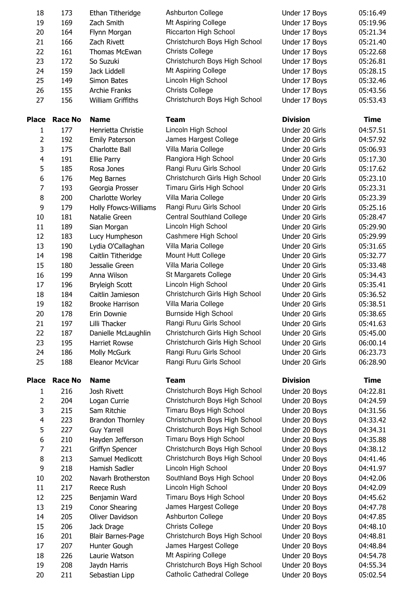| 18             | 173            | Ethan Titheridge             | <b>Ashburton College</b>          | Under 17 Boys   | 05:16.49    |
|----------------|----------------|------------------------------|-----------------------------------|-----------------|-------------|
| 19             | 169            | Zach Smith                   | Mt Aspiring College               | Under 17 Boys   | 05:19.96    |
| 20             | 164            | Flynn Morgan                 | <b>Riccarton High School</b>      | Under 17 Boys   | 05:21.34    |
| 21             | 166            | Zach Rivett                  | Christchurch Boys High School     | Under 17 Boys   | 05:21.40    |
| 22             | 161            | <b>Thomas McEwan</b>         | <b>Christs College</b>            | Under 17 Boys   | 05:22.68    |
| 23             | 172            | So Suzuki                    | Christchurch Boys High School     | Under 17 Boys   | 05:26.81    |
| 24             | 159            | Jack Liddell                 | Mt Aspiring College               | Under 17 Boys   | 05:28.15    |
| 25             | 149            | Simon Bates                  | Lincoln High School               | Under 17 Boys   | 05:32.46    |
| 26             | 155            | <b>Archie Franks</b>         | <b>Christs College</b>            | Under 17 Boys   | 05:43.56    |
| 27             | 156            | <b>William Griffiths</b>     | Christchurch Boys High School     | Under 17 Boys   | 05:53.43    |
| <b>Place</b>   | <b>Race No</b> | <b>Name</b>                  | <b>Team</b>                       | <b>Division</b> | <b>Time</b> |
| 1              | 177            | Henrietta Christie           | Lincoln High School               | Under 20 Girls  | 04:57.51    |
| $\overline{2}$ | 192            | <b>Emily Paterson</b>        | James Hargest College             | Under 20 Girls  | 04:57.92    |
| 3              | 175            | Charlotte Ball               | Villa Maria College               | Under 20 Girls  | 05:06.93    |
| 4              | 191            | Ellie Parry                  | Rangiora High School              | Under 20 Girls  | 05:17.30    |
| 5              | 185            | Rosa Jones                   | Rangi Ruru Girls School           | Under 20 Girls  | 05:17.62    |
| 6              | 176            | Meg Barnes                   | Christchurch Girls High School    | Under 20 Girls  | 05:23.10    |
| 7              | 193            | Georgia Prosser              | Timaru Girls High School          | Under 20 Girls  | 05:23.31    |
| 8              | 200            | Charlotte Worley             | Villa Maria College               | Under 20 Girls  | 05:23.39    |
| 9              | 179            | <b>Holly Ffowcs-Williams</b> | Rangi Ruru Girls School           | Under 20 Girls  | 05:25.16    |
| 10             | 181            | Natalie Green                | <b>Central Southland College</b>  | Under 20 Girls  | 05:28.47    |
| 11             | 189            | Sian Morgan                  | Lincoln High School               | Under 20 Girls  | 05:29.90    |
| 12             | 183            | Lucy Humpheson               | Cashmere High School              | Under 20 Girls  | 05:29.99    |
| 13             | 190            | Lydia O'Callaghan            | Villa Maria College               | Under 20 Girls  | 05:31.65    |
| 14             | 198            | Caitlin Titheridge           | Mount Hutt College                | Under 20 Girls  | 05:32.77    |
| 15             | 180            | Jessalie Green               | Villa Maria College               | Under 20 Girls  | 05:33.48    |
| 16             | 199            | Anna Wilson                  | St Margarets College              | Under 20 Girls  | 05:34.43    |
| 17             | 196            | <b>Bryleigh Scott</b>        | Lincoln High School               | Under 20 Girls  | 05:35.41    |
| 18             | 184            | Caitlin Jamieson             | Christchurch Girls High School    | Under 20 Girls  | 05:36.52    |
| 19             | 182            | <b>Brooke Harrison</b>       | Villa Maria College               | Under 20 Girls  | 05:38.51    |
| 20             | 178            | Erin Downie                  | Burnside High School              | Under 20 Girls  | 05:38.65    |
| 21             | 197            | Lilli Thacker                | Rangi Ruru Girls School           | Under 20 Girls  | 05:41.63    |
| 22             | 187            | Danielle McLaughlin          | Christchurch Girls High School    | Under 20 Girls  | 05:45.00    |
| 23             | 195            | <b>Harriet Rowse</b>         | Christchurch Girls High School    | Under 20 Girls  | 06:00.14    |
| 24             | 186            | Molly McGurk                 | Rangi Ruru Girls School           | Under 20 Girls  | 06:23.73    |
| 25             | 188            | Eleanor McVicar              | Rangi Ruru Girls School           | Under 20 Girls  | 06:28.90    |
| <b>Place</b>   | <b>Race No</b> | <b>Name</b>                  | <b>Team</b>                       | <b>Division</b> | <b>Time</b> |
| 1              | 216            | Josh Rivett                  | Christchurch Boys High School     | Under 20 Boys   | 04:22.81    |
| $\overline{2}$ | 204            | Logan Currie                 | Christchurch Boys High School     | Under 20 Boys   | 04:24.59    |
| 3              | 215            | Sam Ritchie                  | Timaru Boys High School           | Under 20 Boys   | 04:31.56    |
| 4              | 223            | <b>Brandon Thornley</b>      | Christchurch Boys High School     | Under 20 Boys   | 04:33.42    |
| 5              | 227            | <b>Guy Yarrell</b>           | Christchurch Boys High School     | Under 20 Boys   | 04:34.31    |
| 6              | 210            | Hayden Jefferson             | Timaru Boys High School           | Under 20 Boys   | 04:35.88    |
| 7              | 221            | Griffyn Spencer              | Christchurch Boys High School     | Under 20 Boys   | 04:38.12    |
| 8              | 213            | Samuel Medlicott             | Christchurch Boys High School     | Under 20 Boys   | 04:41.46    |
| 9              | 218            | Hamish Sadler                | Lincoln High School               | Under 20 Boys   | 04:41.97    |
| 10             | 202            | Navarh Brotherston           | Southland Boys High School        | Under 20 Boys   | 04:42.06    |
| 11             | 217            | Reece Rush                   | Lincoln High School               | Under 20 Boys   | 04:42.09    |
| 12             | 225            | Benjamin Ward                | Timaru Boys High School           | Under 20 Boys   | 04:45.62    |
| 13             | 219            | <b>Conor Shearing</b>        | James Hargest College             | Under 20 Boys   | 04:47.78    |
| 14             | 205            | Oliver Davidson              | <b>Ashburton College</b>          | Under 20 Boys   | 04:47.85    |
| 15             | 206            | Jack Drage                   | <b>Christs College</b>            | Under 20 Boys   | 04:48.10    |
| 16             | 201            | <b>Blair Barnes-Page</b>     | Christchurch Boys High School     | Under 20 Boys   | 04:48.81    |
| 17             | 207            | Hunter Gough                 | James Hargest College             | Under 20 Boys   | 04:48.84    |
| 18             | 226            | Laurie Watson                | Mt Aspiring College               | Under 20 Boys   | 04:54.78    |
| 19             | 208            | Jaydn Harris                 | Christchurch Boys High School     | Under 20 Boys   | 04:55.34    |
| 20             | 211            | Sebastian Lipp               | <b>Catholic Cathedral College</b> | Under 20 Boys   | 05:02.54    |